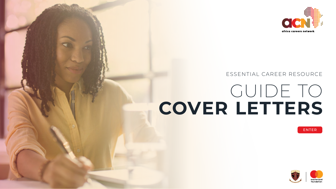



# GUIDE TO **COVER LETTERS**  ESSENTIAL CAREER RESOURCE







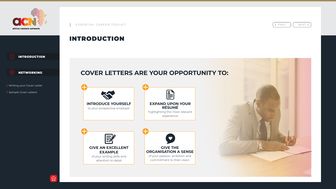## INTRODUCTION





 $\left\{ \varphi \in \mathbb{R} \mid \varphi \in \mathbb{R} \mid \varphi \in \mathbb{R} \right\}$  NEXT >





## **COVER LETTERS ARE YOUR OPPORTUNITY TO:**

<span id="page-1-0"></span>





**Writing your Cover Letter**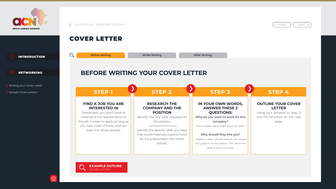## COVER LETTER

 $\mathbb{O}_{\!o}$ 

**Before Writing Community Community Community Community Community Community Community Community Community Community Community Community Community Community Community Community Community Community Community Community Commun** 

## **BEFORE WRITING YOUR COVER LETTER**



< PREV || NEXT >

### **FIND A JOB YOU ARE INTERESTED IN**

Remember, you don't need to meet all of the requirements of the job in order to apply, as long as you have most of them, and can learn the others quickly.

**STEP 1**

### **RESEARCH THE COMPANY AND THE POSITION**

Identify the key skills required for the position

Identify the specific skills you have that would make you a good choice for the positionlearn the others quickly.



## **STEP 2**

### **IN YOUR OWN WORDS, ANSWER THESE 2 QUESTIONS:**

Why do you want to work for this company?

This is a great way to begin your cover letter.

### Why should they hire you?

Prepare 3 clear, concise reasons you would be a good fit for the position. This will be the body of your cover letter.

## **STEP 3**

### **OUTLINE YOUR COVER LETTER**

Using your answers to Step 3, and the Structure on the next page.



## **STEP 4**







**Writing your Cover Letter**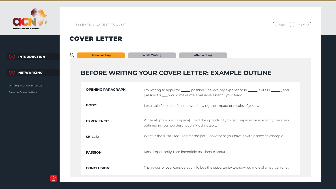**BEFORE WRITING YOUR COVER LETTER: EXAMPLE OUTLINE OPENING PARAGRAPH:**  I'm writing to apply for \_\_\_\_\_\_ position. I believe my experience in \_\_\_\_\_\_, skills in \_\_\_\_\_\_, and passion for \_\_\_ would make me a valuable asset to your team. **Before Writing Community Community Community Community Community Community Community Community Community Community Community Community Community Community Community Community Community Community Community Community Commun** 

**BODY: EXPERIENCE: SKILLS: PASSION:** 1 example for each of the above, showing the impact or results of your work While at [previous company], I had the opportunity to gain experience in exactly the areas outlined in your job description. Most notably… What is the #1 skill required for the job? Show them you have it with a specific example. Most importantly, I am incredible passionate about \_\_\_\_\_\_,

**CONCLUSION:**



< PREV || NEXT >

Thank you for your consideration. I'd love the opportunity to show you more of what I can offer.



## COVER LETTER

 $\mathbb{O}_{\!o}$ 







**Writing your Cover Letter**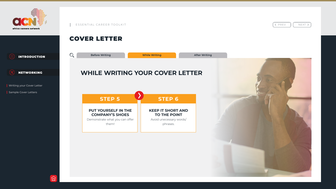## COVER LETTER



Demonstrate what you can offer them!



 $\left\{ \varphi \in \mathbb{R} \mid \varphi \in \mathbb{R} \mid \varphi \in \mathbb{R} \right\}$  NEXT >

## **KEEP IT SHORT AND TO THE POINT**

Avoid unecessary words/ phrases.





## **STEP 6**







Writing your Cover Letter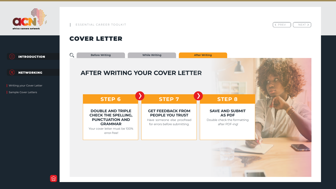## COVER LETTER

 $\mathbb{O}_{\mathcal{O}}$ 

**Before Writing Community Community Community Community Community Community Community Community Community Community Community Community Community Community Community Community Community Community Community Community Commun** 

## **AFTER WRITING YOUR COVER LETTER**

**DOUBLE AND TRIPLE CHECK THE SPELLING, PUNCTUATION AND GRAMMAR**

Your cover letter must be 100% error-free!



 $\left\{ \varphi \in \mathbb{R} \mid \varphi \in \mathbb{R} \mid \varphi \in \mathbb{R} \right\}$  NEXT >

## **STEP 6**

### **GET FEEDBACK FROM PEOPLE YOU TRUST**

Have someone else proofread for errors before submitting.

## **STEP 7**

## **SAVE AND SUBMIT AS PDF**

Double check the formatting after PDF-ing!





## **STEP 8**







**Writing your Cover Letter**